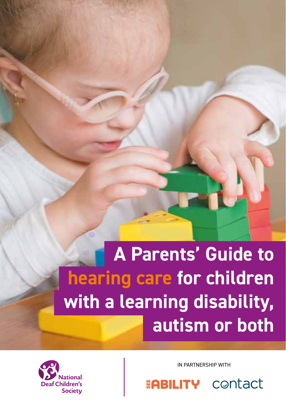# **A Parents' Guide to hearing care for children with a learning disability, autism or both**

IN PARTNERSHIP WITH

**ABILITY** contact

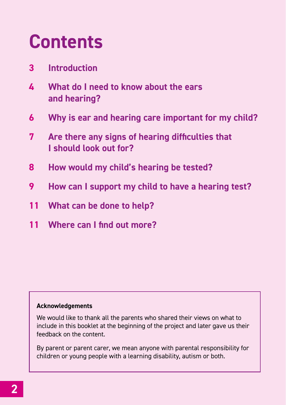#### **Contents**

- **3 Introduction**
- **4 What do I need to know about the ears and hearing?**
- **6 Why is ear and hearing care important for my child?**
- **7 Are there any signs of hearing difficulties that I should look out for?**
- **8 How would my child's hearing be tested?**
- **9 How can I support my child to have a hearing test?**
- **11 What can be done to help?**
- **11 Where can I find out more?**

#### **Acknowledgements**

We would like to thank all the parents who shared their views on what to include in this booklet at the beginning of the project and later gave us their feedback on the content.

By parent or parent carer, we mean anyone with parental responsibility for children or young people with a learning disability, autism or both.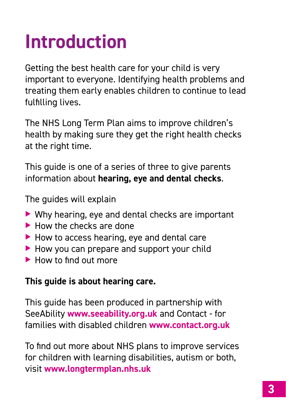### **Introduction**

Getting the best health care for your child is very important to everyone. Identifying health problems and treating them early enables children to continue to lead fulfilling lives.

The NHS Long Term Plan aims to improve children's health by making sure they get the right health checks at the right time.

This guide is one of a series of three to give parents information about **hearing, eye and dental checks**.

The guides will explain

- $\triangleright$  Why hearing, eye and dental checks are important
- $\blacktriangleright$  How the checks are done
- $\blacktriangleright$  How to access hearing, eye and dental care
- $\blacktriangleright$  How you can prepare and support your child
- $\blacktriangleright$  How to find out more

#### **This guide is about hearing care.**

This guide has been produced in partnership with SeeAbility **www.seeability.org.uk** and Contact - for families with disabled children **www.contact.org.uk**

To find out more about NHS plans to improve services for children with learning disabilities, autism or both, visit **www.longtermplan.nhs.uk**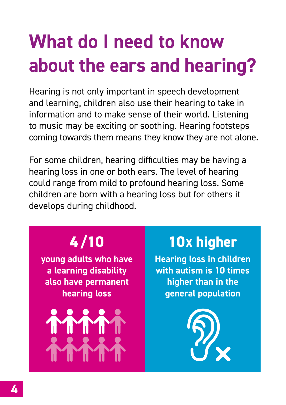### **What do I need to know about the ears and hearing?**

Hearing is not only important in speech development and learning, children also use their hearing to take in information and to make sense of their world. Listening to music may be exciting or soothing. Hearing footsteps coming towards them means they know they are not alone.

For some children, hearing difficulties may be having a hearing loss in one or both ears. The level of hearing could range from mild to profound hearing loss. Some children are born with a hearing loss but for others it develops during childhood.

#### **4/10**

**young adults who have a learning disability also have permanent hearing loss**



#### **10X higher**

**Hearing loss in children with autism is 10 times higher than in the general population**

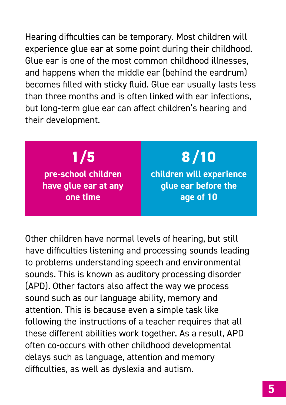Hearing difficulties can be temporary. Most children will experience glue ear at some point during their childhood. Glue ear is one of the most common childhood illnesses, and happens when the middle ear (behind the eardrum) becomes filled with sticky fluid. Glue ear usually lasts less than three months and is often linked with ear infections, but long-term glue ear can affect children's hearing and their development.

**1/5 pre-school children** 

**have glue ear at any one time**

**8/10**

**children will experience glue ear before the age of 10**

Other children have normal levels of hearing, but still have difficulties listening and processing sounds leading to problems understanding speech and environmental sounds. This is known as auditory processing disorder (APD). Other factors also affect the way we process sound such as our language ability, memory and attention. This is because even a simple task like following the instructions of a teacher requires that all these different abilities work together. As a result, APD often co-occurs with other childhood developmental delays such as language, attention and memory difficulties, as well as dyslexia and autism.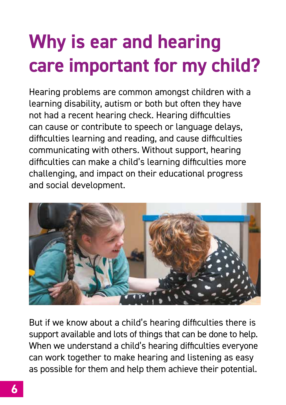## **Why is ear and hearing care important for my child?**

Hearing problems are common amongst children with a learning disability, autism or both but often they have not had a recent hearing check. Hearing difficulties can cause or contribute to speech or language delays, difficulties learning and reading, and cause difficulties communicating with others. Without support, hearing difficulties can make a child's learning difficulties more challenging, and impact on their educational progress and social development.



But if we know about a child's hearing difficulties there is support available and lots of things that can be done to help. When we understand a child's hearing difficulties everyone can work together to make hearing and listening as easy as possible for them and help them achieve their potential.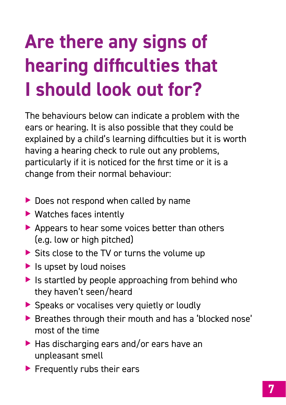### **Are there any signs of hearing difficulties that I should look out for?**

The behaviours below can indicate a problem with the ears or hearing. It is also possible that they could be explained by a child's learning difficulties but it is worth having a hearing check to rule out any problems, particularly if it is noticed for the first time or it is a change from their normal behaviour:

- $\blacktriangleright$  Does not respond when called by name
- $\blacktriangleright$  Watches faces intently
- $\blacktriangleright$  Appears to hear some voices better than others (e.g. low or high pitched)
- $\triangleright$  Sits close to the TV or turns the volume up
- $\blacktriangleright$  Is upset by loud noises
- $\blacktriangleright$  Is startled by people approaching from behind who they haven't seen/heard
- $\triangleright$  Speaks or vocalises very quietly or loudly
- $\blacktriangleright$  Breathes through their mouth and has a 'blocked nose' most of the time
- $\blacktriangleright$  Has discharging ears and/or ears have an unpleasant smell
- $\blacktriangleright$  Frequently rubs their ears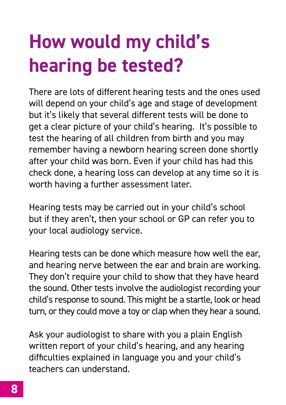## **How would my child's hearing be tested?**

There are lots of different hearing tests and the ones used will depend on your child's age and stage of development but it's likely that several different tests will be done to get a clear picture of your child's hearing. It's possible to test the hearing of all children from birth and you may remember having a newborn hearing screen done shortly after your child was born. Even if your child has had this check done, a hearing loss can develop at any time so it is worth having a further assessment later.

Hearing tests may be carried out in your child's school but if they aren't, then your school or GP can refer you to your local audiology service.

Hearing tests can be done which measure how well the ear, and hearing nerve between the ear and brain are working. They don't require your child to show that they have heard the sound. Other tests involve the audiologist recording your child's response to sound. This might be a startle, look or head turn, or they could move a toy or clap when they hear a sound.

Ask your audiologist to share with you a plain English written report of your child's hearing, and any hearing difficulties explained in language you and your child's teachers can understand.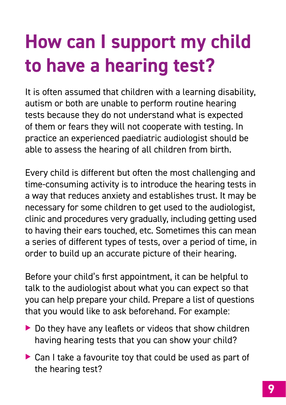## **How can I support my child to have a hearing test?**

It is often assumed that children with a learning disability, autism or both are unable to perform routine hearing tests because they do not understand what is expected of them or fears they will not cooperate with testing. In practice an experienced paediatric audiologist should be able to assess the hearing of all children from birth.

Every child is different but often the most challenging and time-consuming activity is to introduce the hearing tests in a way that reduces anxiety and establishes trust. It may be necessary for some children to get used to the audiologist, clinic and procedures very gradually, including getting used to having their ears touched, etc. Sometimes this can mean a series of different types of tests, over a period of time, in order to build up an accurate picture of their hearing.

Before your child's first appointment, it can be helpful to talk to the audiologist about what you can expect so that you can help prepare your child. Prepare a list of questions that you would like to ask beforehand. For example:

- $\blacktriangleright$  Do they have any leaflets or videos that show children having hearing tests that you can show your child?
- $\triangleright$  Can I take a favourite toy that could be used as part of the hearing test?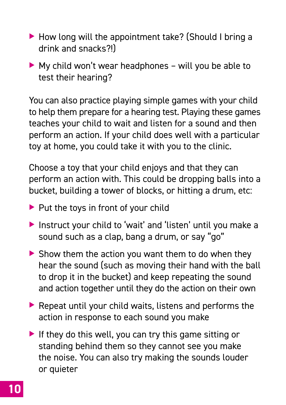- $\blacktriangleright$  How long will the appointment take? (Should I bring a drink and snacks?!)
- $\triangleright$  My child won't wear headphones will you be able to test their hearing?

You can also practice playing simple games with your child to help them prepare for a hearing test. Playing these games teaches your child to wait and listen for a sound and then perform an action. If your child does well with a particular toy at home, you could take it with you to the clinic.

Choose a toy that your child enjoys and that they can perform an action with. This could be dropping balls into a bucket, building a tower of blocks, or hitting a drum, etc:

- $\blacktriangleright$  Put the toys in front of your child
- Instruct your child to 'wait' and 'listen' until you make a sound such as a clap, bang a drum, or say "go"
- $\triangleright$  Show them the action you want them to do when they hear the sound (such as moving their hand with the ball to drop it in the bucket) and keep repeating the sound and action together until they do the action on their own
- $\blacktriangleright$  Repeat until your child waits, listens and performs the action in response to each sound you make
- If they do this well, you can try this game sitting or standing behind them so they cannot see you make the noise. You can also try making the sounds louder or quieter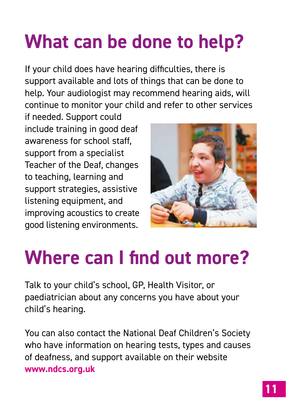## **What can be done to help?**

If your child does have hearing difficulties, there is support available and lots of things that can be done to help. Your audiologist may recommend hearing aids, will continue to monitor your child and refer to other services

if needed. Support could include training in good deaf awareness for school staff, support from a specialist Teacher of the Deaf, changes to teaching, learning and support strategies, assistive listening equipment, and improving acoustics to create good listening environments.



#### **Where can I find out more?**

Talk to your child's school, GP, Health Visitor, or paediatrician about any concerns you have about your child's hearing.

You can also contact the National Deaf Children's Society who have information on hearing tests, types and causes of deafness, and support available on their website **www.ndcs.org.uk**